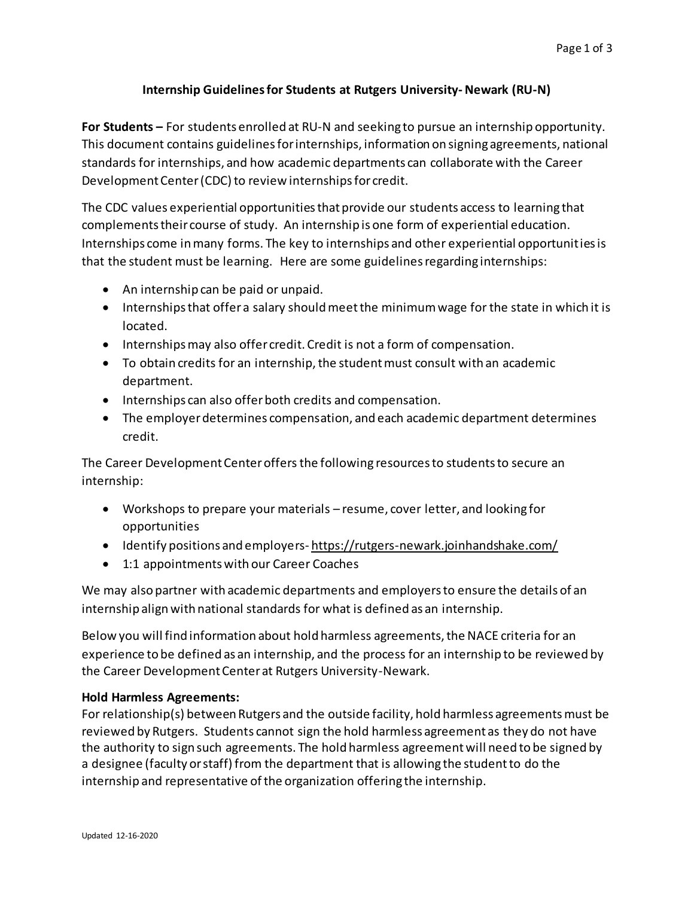### **Internship Guidelines for Students at Rutgers University-Newark (RU-N)**

**For Students –** For students enrolled at RU-N and seeking to pursue an internship opportunity. This document contains guidelines for internships, information on signing agreements, national standards for internships, and how academic departments can collaborate with the Career Development Center (CDC) to review internships for credit.

The CDC values experiential opportunities that provide our students access to learning that complements their course of study. An internship is one form of experiential education. Internships come in many forms. The key to internships and other experiential opportunities is that the student must be learning. Here are some guidelines regarding internships:

- An internship can be paid or unpaid.
- Internships that offer a salary should meet the minimum wage for the state in which it is located.
- Internships may also offer credit. Credit is not a form of compensation.
- To obtain credits for an internship, the student must consult with an academic department.
- Internships can also offer both credits and compensation.
- The employer determines compensation, and each academic department determines credit.

The Career Development Center offers the following resources to students to secure an internship:

- Workshops to prepare your materials resume, cover letter, and looking for opportunities
- Identify positions and employers- <https://rutgers-newark.joinhandshake.com/>
- 1:1 appointments with our Career Coaches

We may also partner with academic departments and employers to ensure the details of an internship align with national standards for what is defined as an internship.

Below you will find information about hold harmless agreements, the NACE criteria for an experience to be defined as an internship, and the process for an internship to be reviewed by the Career Development Center at Rutgers University-Newark.

#### **Hold Harmless Agreements:**

For relationship(s) between Rutgers and the outside facility, hold harmless agreements must be reviewed by Rutgers. Students cannot sign the hold harmless agreement as they do not have the authority to sign such agreements. The hold harmless agreement will need to be signed by a designee (faculty or staff) from the department that is allowing the student to do the internship and representative of the organization offering the internship.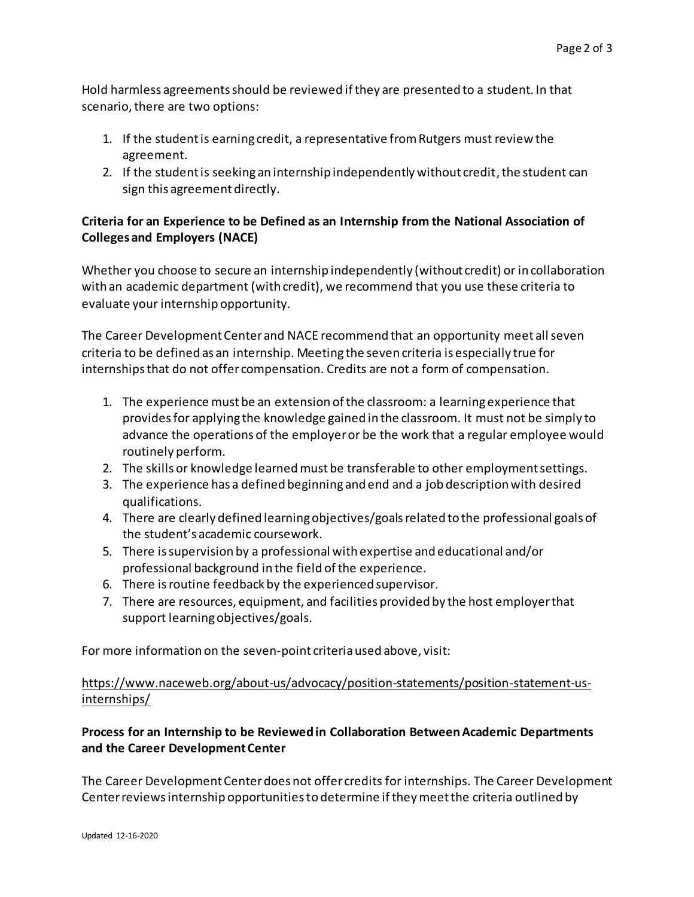Hold harmless agreements should be reviewed if they are presented to a student. In that scenario, there are two options:

- 1. If the student is earning credit, a representative from Rutgers must review the agreement.
- 2. If the student is seeking an internship independently without credit, the student can sign this agreement directly.

## **Criteria for an Experience to be Defined as an Internship from the National Association of Colleges and Employers (NACE)**

Whether you choose to secure an internship independently (without credit) or in collaboration with an academic department (with credit), we recommend that you use these criteria to evaluate your internship opportunity.

The Career Development Center and NACE recommend that an opportunity meet all seven criteria to be defined as an internship. Meeting the seven criteria is especially true for internships that do not offer compensation. Credits are not a form of compensation.

- 1. The experience must be an extension of the classroom: a learning experience that provides for applying the knowledge gained in the classroom. It must not be simply to advance the operations of the employer or be the work that a regular employee would routinely perform.
- 2. The skills or knowledge learned must be transferable to other employment settings.
- 3. The experience has a defined beginning and end and a job description with desired qualifications.
- 4. There are clearly defined learning objectives/goals related to the professional goals of the student's academic coursework.
- 5. There is supervision by a professional with expertise and educational and/or professional background in the field of the experience.
- 6. There is routine feedback by the experienced supervisor.
- 7. There are resources, equipment, and facilities provided by the host employer that support learning objectives/goals.

For more information on the seven-point criteria used above, visit:

### [https://www.naceweb.org/about-us/advocacy/position-statements/position-statement-us](https://nam02.safelinks.protection.outlook.com/?url=https%3A%2F%2Fwww.naceweb.org%2Fabout-us%2Fadvocacy%2Fposition-statements%2Fposition-statement-us-internships%2F&data=02%7C01%7Cwenylla.reid%40rutgers.edu%7C5ecf7fc38c3945a5864608d7a368c9d7%7Cb92d2b234d35447093ff69aca6632ffe%7C1%7C1%7C637157542775052684&sdata=5rtIWy2tRWxTYzYYBKf9UIa%2Bqm8ZLdpJwJorqUuQnec%3D&reserved=0)[internships/](https://nam02.safelinks.protection.outlook.com/?url=https%3A%2F%2Fwww.naceweb.org%2Fabout-us%2Fadvocacy%2Fposition-statements%2Fposition-statement-us-internships%2F&data=02%7C01%7Cwenylla.reid%40rutgers.edu%7C5ecf7fc38c3945a5864608d7a368c9d7%7Cb92d2b234d35447093ff69aca6632ffe%7C1%7C1%7C637157542775052684&sdata=5rtIWy2tRWxTYzYYBKf9UIa%2Bqm8ZLdpJwJorqUuQnec%3D&reserved=0)

# **Process for an Internship to be Reviewed in Collaboration Between Academic Departments and the Career Development Center**

The Career Development Center does not offer credits for internships. The Career Development Center reviews internship opportunities to determine if they meet the criteria outlined by